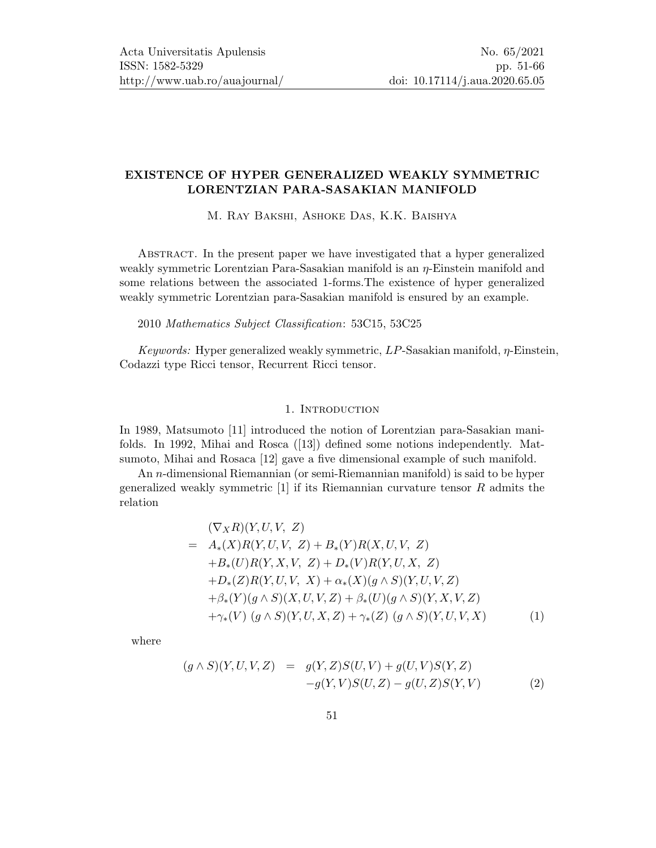## EXISTENCE OF HYPER GENERALIZED WEAKLY SYMMETRIC LORENTZIAN PARA-SASAKIAN MANIFOLD

M. Ray Bakshi, Ashoke Das, K.K. Baishya

Abstract. In the present paper we have investigated that a hyper generalized weakly symmetric Lorentzian Para-Sasakian manifold is an  $\eta$ -Einstein manifold and some relations between the associated 1-forms.The existence of hyper generalized weakly symmetric Lorentzian para-Sasakian manifold is ensured by an example.

#### 2010 Mathematics Subject Classification: 53C15, 53C25

Keywords: Hyper generalized weakly symmetric,  $LP$ -Sasakian manifold,  $\eta$ -Einstein, Codazzi type Ricci tensor, Recurrent Ricci tensor.

#### 1. INTRODUCTION

In 1989, Matsumoto [\[11\]](#page-15-1) introduced the notion of Lorentzian para-Sasakian manifolds. In 1992, Mihai and Rosca([\[13\]](#page-15-2)) defined some notions independently. Matsumoto, Mihai and Rosaca [\[12\]](#page-15-3) gave a five dimensional example of such manifold.

An n-dimensional Riemannian (or semi-Riemannian manifold) is said to be hyper generalized weakly symmetric  $[1]$  if its Riemannian curvature tensor  $R$  admits the relation

$$
(\nabla_X R)(Y, U, V, Z)
$$
  
=  $A_*(X)R(Y, U, V, Z) + B_*(Y)R(X, U, V, Z)$   
+ $B_*(U)R(Y, X, V, Z) + D_*(V)R(Y, U, X, Z)$   
+ $D_*(Z)R(Y, U, V, X) + \alpha_*(X)(g \wedge S)(Y, U, V, Z)$   
+ $\beta_*(Y)(g \wedge S)(X, U, V, Z) + \beta_*(U)(g \wedge S)(Y, X, V, Z)$   
+ $\gamma_*(V) (g \wedge S)(Y, U, X, Z) + \gamma_*(Z) (g \wedge S)(Y, U, V, X)$  (1)

where

<span id="page-0-0"></span>
$$
(g \wedge S)(Y, U, V, Z) = g(Y, Z)S(U, V) + g(U, V)S(Y, Z) -g(Y, V)S(U, Z) - g(U, Z)S(Y, V)
$$
(2)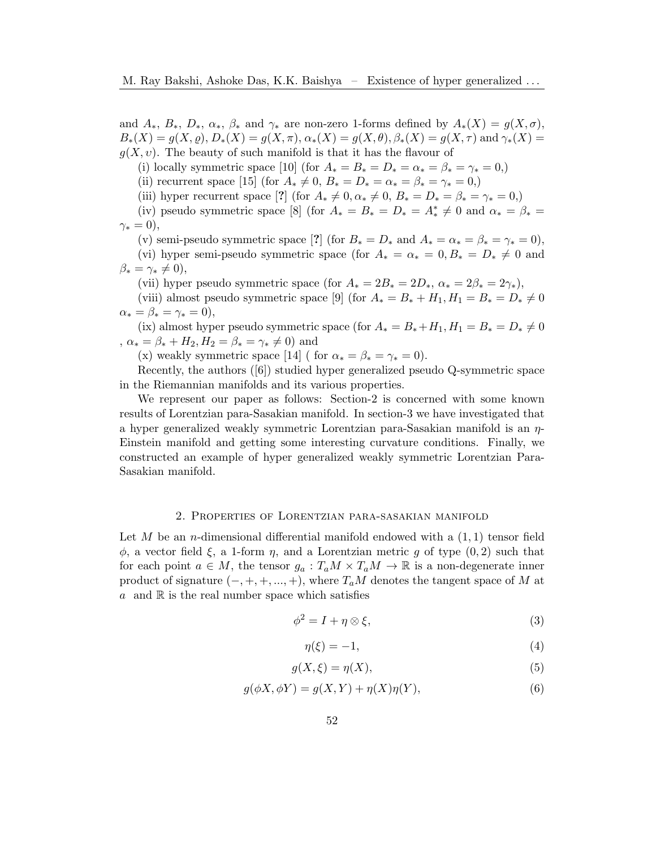and  $A_*, B_*, D_*, \alpha_*, \beta_*$  and  $\gamma_*$  are non-zero 1-forms defined by  $A_*(X) = g(X, \sigma),$  $B_*(X) = g(X, \varrho), D_*(X) = g(X, \pi), \alpha_*(X) = g(X, \theta), \beta_*(X) = g(X, \tau)$  and  $\gamma_*(X) = g(X, \tau)$  $g(X, v)$ . The beauty of such manifold is that it has the flavour of

(i) locally symmetric space [\[10\]](#page-15-4) (for  $A_* = B_* = D_* = \alpha_* = \beta_* = \gamma_* = 0,$ )

(ii) recurrent space [\[15\]](#page-15-5) (for  $A_* \neq 0$ ,  $B_* = D_* = \alpha_* = \beta_* = \gamma_* = 0$ .)

(iii) hyper recurrent space [?] (for  $A_* \neq 0, \alpha_* \neq 0, B_* = D_* = \beta_* = \gamma_* = 0,$ )

(iv) pseudo symmetric space [\[8\]](#page-15-6) (for  $A_* = B_* = D_* = A_*^* \neq 0$  and  $\alpha_* = \beta_* =$  $\gamma_* = 0$ ),

(v) semi-pseudo symmetric space [?] (for  $B_* = D_*$  and  $A_* = \alpha_* = \beta_* = \gamma_* = 0$ ),

(vi) hyper semi-pseudo symmetric space (for  $A_* = \alpha_* = 0, B_* = D_* \neq 0$  and  $\beta_* = \gamma_* \neq 0,$ 

(vii) hyper pseudo symmetric space (for  $A_* = 2B_* = 2D_*$ ,  $\alpha_* = 2\beta_* = 2\gamma_*$ ),

(viii) almost pseudo symmetric space [\[9\]](#page-15-7) (for  $A_* = B_* + H_1, H_1 = B_* = D_* \neq 0$  $\alpha_* = \beta_* = \gamma_* = 0$ ,

(ix) almost hyper pseudo symmetric space (for  $A_* = B_* + H_1, H_1 = B_* = D_* \neq 0$ ,  $\alpha_* = \beta_* + H_2, H_2 = \beta_* = \gamma_* \neq 0$  and

(x) weakly symmetric space [\[14\]](#page-15-8) ( for  $\alpha_* = \beta_* = \gamma_* = 0$ ).

Recently, the authors([\[6\]](#page-14-1)) studied hyper generalized pseudo Q-symmetric space in the Riemannian manifolds and its various properties.

We represent our paper as follows: Section-2 is concerned with some known results of Lorentzian para-Sasakian manifold. In section-3 we have investigated that a hyper generalized weakly symmetric Lorentzian para-Sasakian manifold is an  $\eta$ -Einstein manifold and getting some interesting curvature conditions. Finally, we constructed an example of hyper generalized weakly symmetric Lorentzian Para-Sasakian manifold.

#### 2. Properties of Lorentzian para-sasakian manifold

Let M be an n-dimensional differential manifold endowed with a  $(1, 1)$  tensor field  $\phi$ , a vector field  $\xi$ , a 1-form  $\eta$ , and a Lorentzian metric g of type  $(0, 2)$  such that for each point  $a \in M$ , the tensor  $g_a: T_aM \times T_aM \to \mathbb{R}$  is a non-degenerate inner product of signature  $(-, +, +, ..., +)$ , where  $T_aM$  denotes the tangent space of M at  $a \text{ and } \mathbb{R}$  is the real number space which satisfies

$$
\phi^2 = I + \eta \otimes \xi,\tag{3}
$$

<span id="page-1-0"></span>
$$
\eta(\xi) = -1,\tag{4}
$$

<span id="page-1-1"></span>
$$
g(X,\xi) = \eta(X),\tag{5}
$$

$$
g(\phi X, \phi Y) = g(X, Y) + \eta(X)\eta(Y),\tag{6}
$$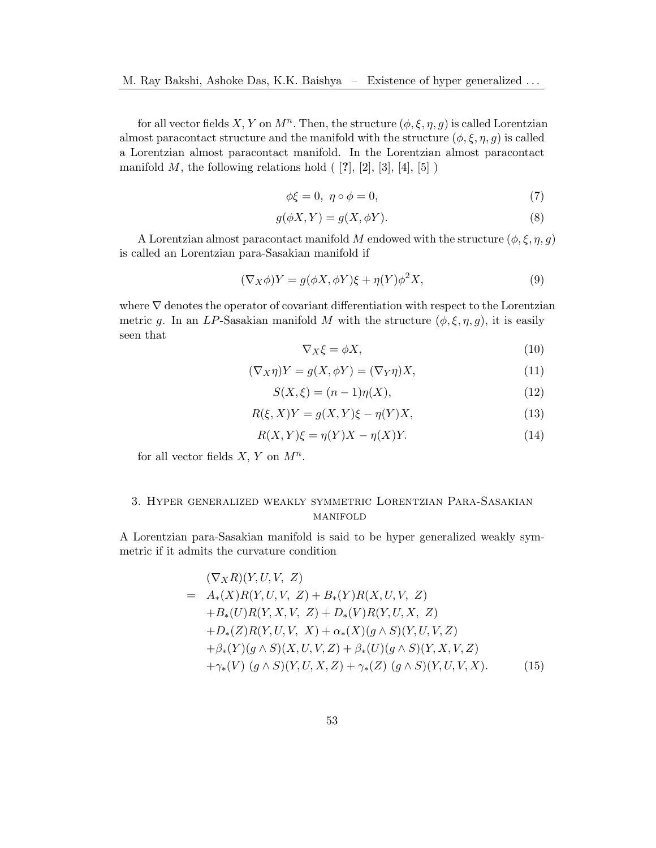for all vector fields X, Y on  $M^n$ . Then, the structure  $(\phi, \xi, \eta, g)$  is called Lorentzian almost paracontact structure and the manifold with the structure  $(\phi, \xi, \eta, g)$  is called a Lorentzian almost paracontact manifold. In the Lorentzian almost paracontact manifold  $M$ , the following relations hold  $([2], [2], [3], [4], [5])$  $([2], [2], [3], [4], [5])$  $([2], [2], [3], [4], [5])$  $([2], [2], [3], [4], [5])$  $([2], [2], [3], [4], [5])$  $([2], [2], [3], [4], [5])$  $([2], [2], [3], [4], [5])$  $([2], [2], [3], [4], [5])$  $([2], [2], [3], [4], [5])$ 

<span id="page-2-4"></span>
$$
\phi \xi = 0, \ \eta \circ \phi = 0,\tag{7}
$$

$$
g(\phi X, Y) = g(X, \phi Y). \tag{8}
$$

A Lorentzian almost paracontact manifold M endowed with the structure  $(\phi, \xi, \eta, g)$ is called an Lorentzian para-Sasakian manifold if

$$
(\nabla_X \phi)Y = g(\phi X, \phi Y)\xi + \eta(Y)\phi^2 X,\tag{9}
$$

where ∇ denotes the operator of covariant differentiation with respect to the Lorentzian metric g. In an LP-Sasakian manifold M with the structure  $(\phi, \xi, \eta, g)$ , it is easily seen that

<span id="page-2-1"></span>
$$
\nabla_X \xi = \phi X,\tag{10}
$$

<span id="page-2-2"></span>
$$
(\nabla_X \eta)Y = g(X, \phi Y) = (\nabla_Y \eta)X,\tag{11}
$$

<span id="page-2-3"></span>
$$
S(X, \xi) = (n - 1)\eta(X),
$$
\n(12)

<span id="page-2-5"></span>
$$
R(\xi, X)Y = g(X, Y)\xi - \eta(Y)X,\tag{13}
$$

<span id="page-2-6"></span>
$$
R(X,Y)\xi = \eta(Y)X - \eta(X)Y.
$$
\n(14)

for all vector fields  $X, Y$  on  $M^n$ .

# 3. Hyper generalized weakly symmetric Lorentzian Para-Sasakian manifold

A Lorentzian para-Sasakian manifold is said to be hyper generalized weakly symmetric if it admits the curvature condition

<span id="page-2-0"></span>
$$
(\nabla_X R)(Y, U, V, Z)
$$
  
=  $A_*(X)R(Y, U, V, Z) + B_*(Y)R(X, U, V, Z)$   
+ $B_*(U)R(Y, X, V, Z) + D_*(V)R(Y, U, X, Z)$   
+ $D_*(Z)R(Y, U, V, X) + \alpha_*(X)(g \wedge S)(Y, U, V, Z)$   
+ $\beta_*(Y)(g \wedge S)(X, U, V, Z) + \beta_*(U)(g \wedge S)(Y, X, V, Z)$   
+ $\gamma_*(V) (g \wedge S)(Y, U, X, Z) + \gamma_*(Z) (g \wedge S)(Y, U, V, X). (15)$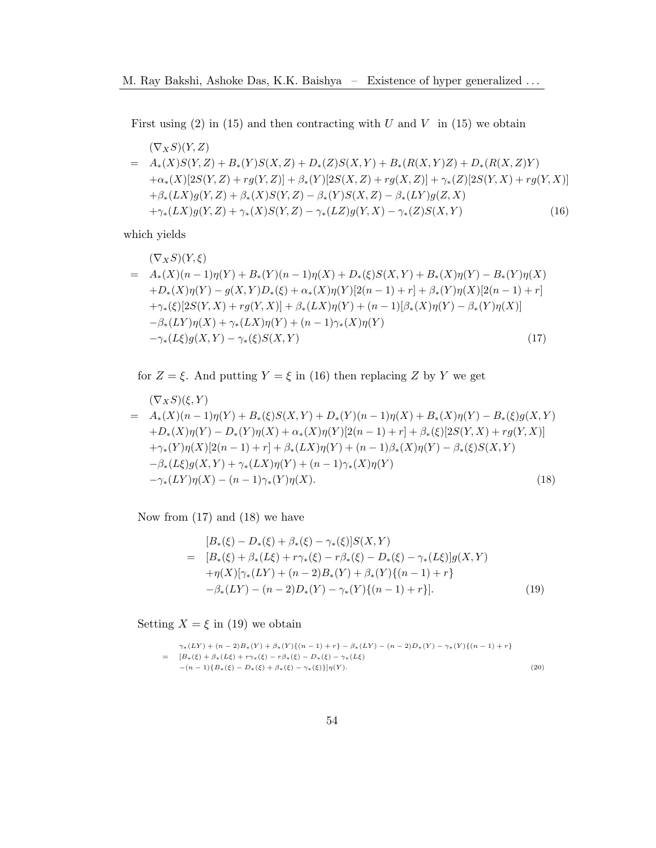First using  $(2)$  in  $(15)$  and then contracting with U and V in  $(15)$  we obtain

<span id="page-3-0"></span>
$$
(\nabla_X S)(Y, Z) = A_*(X)S(Y, Z) + B_*(Y)S(X, Z) + D_*(Z)S(X, Y) + B_*(R(X, Y)Z) + D_*(R(X, Z)Y) + \alpha_*(X)[2S(Y, Z) + rg(Y, Z)] + \beta_*(Y)[2S(X, Z) + rg(X, Z)] + \gamma_*(Z)[2S(Y, X) + rg(Y, X)] + \beta_*(LX)g(Y, Z) + \beta_*(X)S(Y, Z) - \beta_*(Y)S(X, Z) - \beta_*(LY)g(Z, X) + \gamma_*(LX)g(Y, Z) + \gamma_*(X)S(Y, Z) - \gamma_*(LZ)g(Y, X) - \gamma_*(Z)S(X, Y)
$$
\n(16)

which yields

<span id="page-3-1"></span>
$$
(\nabla_X S)(Y,\xi)
$$
  
=  $A_*(X)(n-1)\eta(Y) + B_*(Y)(n-1)\eta(X) + D_*(\xi)S(X,Y) + B_*(X)\eta(Y) - B_*(Y)\eta(X)$   
+ $D_*(X)\eta(Y) - g(X,Y)D_*(\xi) + \alpha_*(X)\eta(Y)[2(n-1) + r] + \beta_*(Y)\eta(X)[2(n-1) + r] + \gamma_*(\xi)[2S(Y,X) + rg(Y,X)] + \beta_*(LX)\eta(Y) + (n-1)[\beta_*(X)\eta(Y) - \beta_*(Y)\eta(X)]$   
- $\beta_*(LY)\eta(X) + \gamma_*(LX)\eta(Y) + (n-1)\gamma_*(X)\eta(Y)$   
- $\gamma_*(L\xi)g(X,Y) - \gamma_*(\xi)S(X,Y)$  (17)

for  $Z = \xi$ . And putting  $Y = \xi$  in [\(16\)](#page-3-0) then replacing Z by Y we get

<span id="page-3-2"></span>
$$
(\nabla_X S)(\xi, Y)
$$
  
=  $A_*(X)(n-1)\eta(Y) + B_*(\xi)S(X, Y) + D_*(Y)(n-1)\eta(X) + B_*(X)\eta(Y) - B_*(\xi)g(X, Y)$   
+ $D_*(X)\eta(Y) - D_*(Y)\eta(X) + \alpha_*(X)\eta(Y)[2(n-1) + r] + \beta_*(\xi)[2S(Y, X) + rg(Y, X)]$   
+ $\gamma_*(Y)\eta(X)[2(n-1) + r] + \beta_*(LX)\eta(Y) + (n-1)\beta_*(X)\eta(Y) - \beta_*(\xi)S(X, Y)$   
- $\beta_*(L\xi)g(X, Y) + \gamma_*(LX)\eta(Y) + (n-1)\gamma_*(X)\eta(Y)$   
- $\gamma_*(LY)\eta(X) - (n-1)\gamma_*(Y)\eta(X).$  (18)

Now from  $(17)$  and  $(18)$  we have

<span id="page-3-3"></span>
$$
[B_*(\xi) - D_*(\xi) + \beta_*(\xi) - \gamma_*(\xi)]S(X,Y)
$$
  
= 
$$
[B_*(\xi) + \beta_*(L\xi) + r\gamma_*(\xi) - r\beta_*(\xi) - D_*(\xi) - \gamma_*(L\xi)]g(X,Y)
$$
  
+
$$
\eta(X)[\gamma_*(LY) + (n-2)B_*(Y) + \beta_*(Y)\{(n-1) + r\}
$$
  
-
$$
\beta_*(LY) - (n-2)D_*(Y) - \gamma_*(Y)\{(n-1) + r\}].
$$
 (19)

Setting  $X = \xi$  in [\(19\)](#page-3-3) we obtain

<span id="page-3-4"></span>
$$
\gamma_*(LY) + (n-2)B_*(Y) + \beta_*(Y)\{(n-1) + r\} - \beta_*(LY) - (n-2)D_*(Y) - \gamma_*(Y)\{(n-1) + r\}
$$
  
= 
$$
[B_*(\xi) + \beta_*(L\xi) + r\gamma_*(\xi) - r\beta_*(\xi) - D_*(\xi) - \gamma_*(L\xi) - (n-1)\{B_*(\xi) - D_*(\xi) + \beta_*(\xi) - \gamma_*(\xi)\}\eta(Y).
$$
 (20)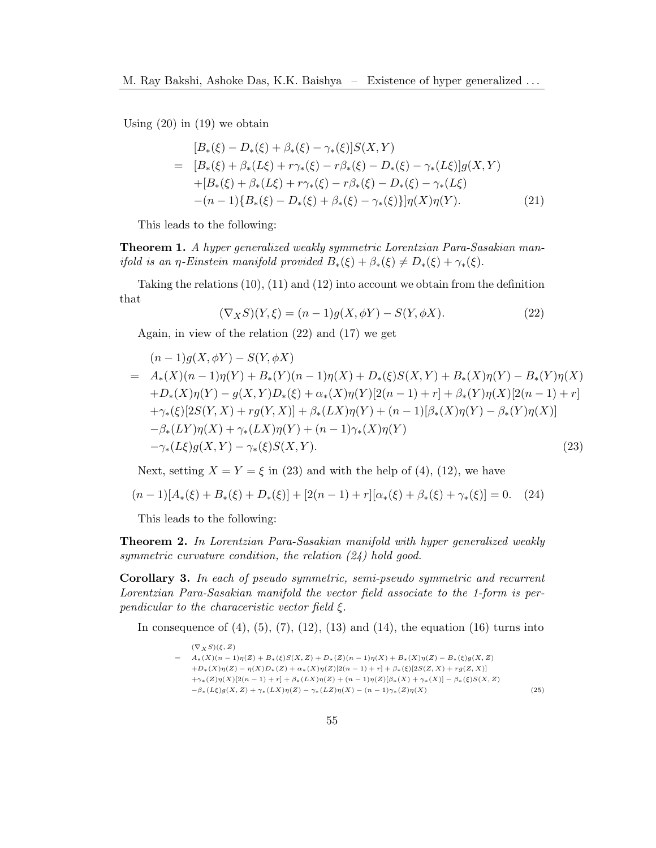Using  $(20)$  in  $(19)$  we obtain

$$
[B_{*}(\xi) - D_{*}(\xi) + \beta_{*}(\xi) - \gamma_{*}(\xi)]S(X,Y)
$$
  
= 
$$
[B_{*}(\xi) + \beta_{*}(L\xi) + r\gamma_{*}(\xi) - r\beta_{*}(\xi) - D_{*}(\xi) - \gamma_{*}(L\xi)]g(X,Y)
$$
  
+
$$
[B_{*}(\xi) + \beta_{*}(L\xi) + r\gamma_{*}(\xi) - r\beta_{*}(\xi) - D_{*}(\xi) - \gamma_{*}(L\xi)
$$
  
–
$$
(n-1)\{B_{*}(\xi) - D_{*}(\xi) + \beta_{*}(\xi) - \gamma_{*}(\xi)\}\eta(X)\eta(Y).
$$
 (21)

This leads to the following:

Theorem 1. A hyper generalized weakly symmetric Lorentzian Para-Sasakian manifold is an η-Einstein manifold provided  $B_*(\xi) + \beta_*(\xi) \neq D_*(\xi) + \gamma_*(\xi)$ .

Taking the relations [\(10\)](#page-2-1), [\(11\)](#page-2-2) and [\(12\)](#page-2-3) into account we obtain from the definition that

<span id="page-4-0"></span>
$$
(\nabla_X S)(Y,\xi) = (n-1)g(X,\phi Y) - S(Y,\phi X). \tag{22}
$$

Again, in view of the relation [\(22\)](#page-4-0) and [\(17\)](#page-3-1) we get

<span id="page-4-1"></span>
$$
(n-1)g(X, \phi Y) - S(Y, \phi X)
$$
  
=  $A_*(X)(n-1)\eta(Y) + B_*(Y)(n-1)\eta(X) + D_*(\xi)S(X, Y) + B_*(X)\eta(Y) - B_*(Y)\eta(X)$   
+ $D_*(X)\eta(Y) - g(X, Y)D_*(\xi) + \alpha_*(X)\eta(Y)[2(n-1) + r] + \beta_*(Y)\eta(X)[2(n-1) + r] + \gamma_*(\xi)[2S(Y, X) + rg(Y, X)] + \beta_*(LX)\eta(Y) + (n-1)[\beta_*(X)\eta(Y) - \beta_*(Y)\eta(X)]$   
 $-\beta_*(LY)\eta(X) + \gamma_*(LX)\eta(Y) + (n-1)\gamma_*(X)\eta(Y)$   
 $-\gamma_*(L\xi)g(X, Y) - \gamma_*(\xi)S(X, Y).$  (23)

Next, setting  $X = Y = \xi$  in [\(23\)](#page-4-1) and with the help of [\(4\)](#page-1-0), [\(12\)](#page-2-3), we have

<span id="page-4-2"></span>
$$
(n-1)[A_*(\xi) + B_*(\xi) + D_*(\xi)] + [2(n-1) + r][\alpha_*(\xi) + \beta_*(\xi) + \gamma_*(\xi)] = 0. \quad (24)
$$

This leads to the following:

Theorem 2. In Lorentzian Para-Sasakian manifold with hyper generalized weakly symmetric curvature condition, the relation  $(24)$  hold good.

Corollary 3. In each of pseudo symmetric, semi-pseudo symmetric and recurrent Lorentzian Para-Sasakian manifold the vector field associate to the 1-form is perpendicular to the characeristic vector field  $\xi$ .

In consequence of  $(4)$ ,  $(5)$ ,  $(7)$ ,  $(12)$ ,  $(13)$  and  $(14)$ , the equation  $(16)$  turns into

<span id="page-4-3"></span> $(\nabla_X S)(\xi, Z)$  $= A_*(X)(n-1)\eta(Z) + B_*(\xi)S(X,Z) + D_*(Z)(n-1)\eta(X) + B_*(X)\eta(Z) - B_*(\xi)g(X,Z)$  $+D_*(X)\eta(Z) - \eta(X)D_*(Z) + \alpha_*(X)\eta(Z)[2(n-1) + r] + \beta_*(\xi)[2S(Z, X) + rg(Z, X)]$  $+\gamma_*(Z)\eta(X)[2(n-1)+r]+\beta_*(LX)\eta(Z)+(n-1)\eta(Z)[\beta_*(X)+\gamma_*(X)]-\beta_*(\xi)S(X,Z)$  $-\beta_*(L\xi)g(X, Z) + \gamma_*(LX)\eta(Z) - \gamma_*(LZ)\eta(X) - (n-1)\gamma_*(Z)\eta(X)$  (25)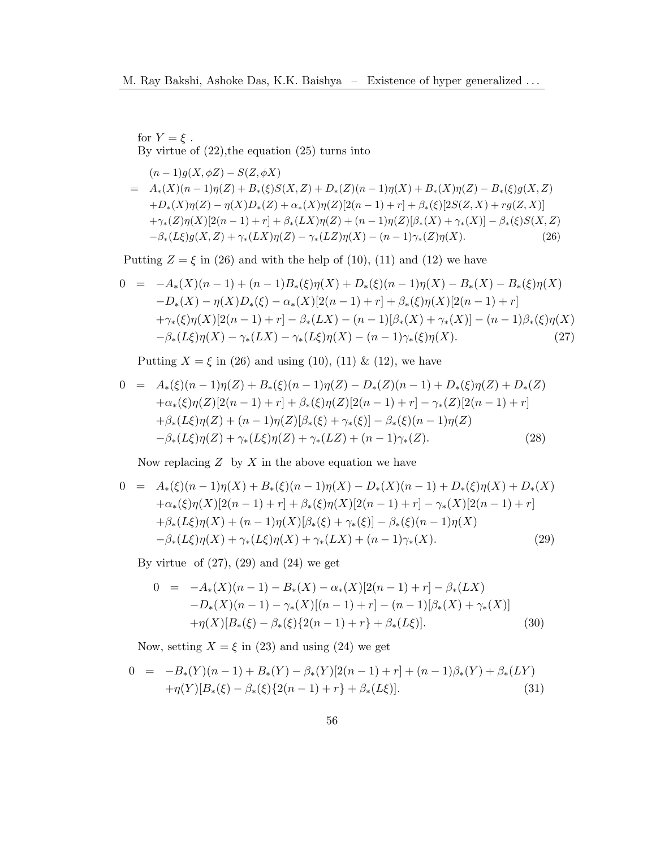for  $Y = \xi$ . By virtue of  $(22)$ , the equation  $(25)$  turns into

<span id="page-5-0"></span>
$$
(n-1)g(X, \phi Z) - S(Z, \phi X)
$$
  
=  $A_*(X)(n-1)\eta(Z) + B_*(\xi)S(X, Z) + D_*(Z)(n-1)\eta(X) + B_*(X)\eta(Z) - B_*(\xi)g(X, Z)$   
+ $D_*(X)\eta(Z) - \eta(X)D_*(Z) + \alpha_*(X)\eta(Z)[2(n-1) + r] + \beta_*(\xi)[2S(Z, X) + rg(Z, X)]$   
+ $\gamma_*(Z)\eta(X)[2(n-1) + r] + \beta_*(LX)\eta(Z) + (n-1)\eta(Z)[\beta_*(X) + \gamma_*(X)] - \beta_*(\xi)S(X, Z)$   
- $\beta_*(L\xi)g(X, Z) + \gamma_*(LX)\eta(Z) - \gamma_*(LZ)\eta(X) - (n-1)\gamma_*(Z)\eta(X). (26)$ 

Putting  $Z = \xi$  in [\(26\)](#page-5-0) and with the help of [\(10\)](#page-2-1), [\(11\)](#page-2-2) and [\(12\)](#page-2-3) we have

<span id="page-5-1"></span>
$$
0 = -A_*(X)(n-1) + (n-1)B_*(\xi)\eta(X) + D_*(\xi)(n-1)\eta(X) - B_*(X) - B_*(\xi)\eta(X)
$$
  
\n
$$
-D_*(X) - \eta(X)D_*(\xi) - \alpha_*(X)[2(n-1) + r] + \beta_*(\xi)\eta(X)[2(n-1) + r]
$$
  
\n
$$
+ \gamma_*(\xi)\eta(X)[2(n-1) + r] - \beta_*(LX) - (n-1)[\beta_*(X) + \gamma_*(X)] - (n-1)\beta_*(\xi)\eta(X)
$$
  
\n
$$
- \beta_*(L\xi)\eta(X) - \gamma_*(LX) - \gamma_*(L\xi)\eta(X) - (n-1)\gamma_*(\xi)\eta(X). \tag{27}
$$

Putting  $X = \xi$  in [\(26\)](#page-5-0) and using [\(10\)](#page-2-1), [\(11\)](#page-2-2) & [\(12\)](#page-2-3), we have

$$
0 = A_{*}(\xi)(n-1)\eta(Z) + B_{*}(\xi)(n-1)\eta(Z) - D_{*}(Z)(n-1) + D_{*}(\xi)\eta(Z) + D_{*}(Z) + \alpha_{*}(\xi)\eta(Z)[2(n-1) + r] + \beta_{*}(\xi)\eta(Z)[2(n-1) + r] - \gamma_{*}(Z)[2(n-1) + r] + \beta_{*}(L\xi)\eta(Z) + (n-1)\eta(Z)[\beta_{*}(\xi) + \gamma_{*}(\xi)] - \beta_{*}(\xi)(n-1)\eta(Z) - \beta_{*}(L\xi)\eta(Z) + \gamma_{*}(L\xi)\eta(Z) + \gamma_{*}(LZ) + (n-1)\gamma_{*}(Z).
$$
 (28)

Now replacing  $Z$  by  $X$  in the above equation we have

<span id="page-5-2"></span>
$$
0 = A_{*}(\xi)(n-1)\eta(X) + B_{*}(\xi)(n-1)\eta(X) - D_{*}(X)(n-1) + D_{*}(\xi)\eta(X) + D_{*}(X)
$$
  
+
$$
\alpha_{*}(\xi)\eta(X)[2(n-1) + r] + \beta_{*}(\xi)\eta(X)[2(n-1) + r] - \gamma_{*}(X)[2(n-1) + r]
$$
  
+
$$
\beta_{*}(L\xi)\eta(X) + (n-1)\eta(X)[\beta_{*}(\xi) + \gamma_{*}(\xi)] - \beta_{*}(\xi)(n-1)\eta(X)
$$
  
-
$$
\beta_{*}(L\xi)\eta(X) + \gamma_{*}(L\xi)\eta(X) + \gamma_{*}(LX) + (n-1)\gamma_{*}(X).
$$
 (29)

By virtue of  $(27)$ ,  $(29)$  and  $(24)$  we get

<span id="page-5-3"></span>
$$
0 = -A_*(X)(n-1) - B_*(X) - \alpha_*(X)[2(n-1) + r] - \beta_*(LX) -D_*(X)(n-1) - \gamma_*(X)[(n-1) + r] - (n-1)[\beta_*(X) + \gamma_*(X)] + \eta(X)[B_*(\xi) - \beta_*(\xi)\{2(n-1) + r\} + \beta_*(L\xi)].
$$
(30)

Now, setting  $X = \xi$  in [\(23\)](#page-4-1) and using [\(24\)](#page-4-2) we get

$$
0 = -B_*(Y)(n-1) + B_*(Y) - \beta_*(Y)[2(n-1) + r] + (n-1)\beta_*(Y) + \beta_*(LY) + \eta(Y)[B_*(\xi) - \beta_*(\xi)\{2(n-1) + r\} + \beta_*(L\xi)].
$$
\n(31)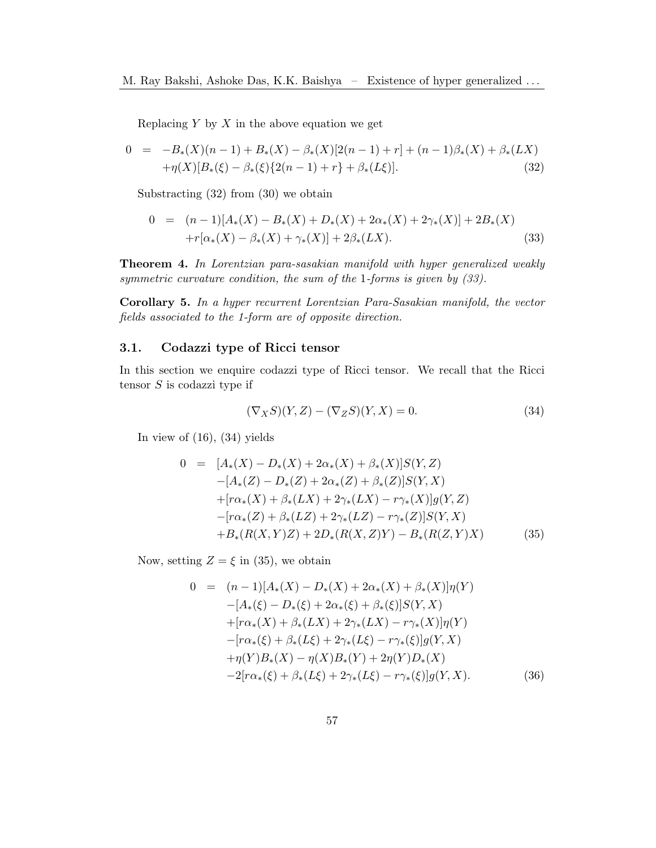Replacing  $Y$  by  $X$  in the above equation we get

<span id="page-6-0"></span>
$$
0 = -B_*(X)(n-1) + B_*(X) - \beta_*(X)[2(n-1) + r] + (n-1)\beta_*(X) + \beta_*(LX) + \eta(X)[B_*(\xi) - \beta_*(\xi)\{2(n-1) + r\} + \beta_*(L\xi)].
$$
(32)

Substracting [\(32\)](#page-6-0) from [\(30\)](#page-5-3) we obtain

<span id="page-6-1"></span>
$$
0 = (n-1)[A_*(X) - B_*(X) + D_*(X) + 2\alpha_*(X) + 2\gamma_*(X)] + 2B_*(X)
$$
  
+
$$
r[\alpha_*(X) - \beta_*(X) + \gamma_*(X)] + 2\beta_*(LX).
$$
 (33)

Theorem 4. In Lorentzian para-sasakian manifold with hyper generalized weakly symmetric curvature condition, the sum of the 1-forms is given by [\(33\)](#page-6-1).

Corollary 5. In a hyper recurrent Lorentzian Para-Sasakian manifold, the vector fields associated to the 1-form are of opposite direction.

### 3.1. Codazzi type of Ricci tensor

In this section we enquire codazzi type of Ricci tensor. We recall that the Ricci tensor  $S$  is codazzi type if

<span id="page-6-2"></span>
$$
(\nabla_X S)(Y,Z) - (\nabla_Z S)(Y,X) = 0.
$$
\n(34)

In view of  $(16)$ ,  $(34)$  yields

<span id="page-6-3"></span>
$$
0 = [A_*(X) - D_*(X) + 2\alpha_*(X) + \beta_*(X)]S(Y, Z)
$$
  
\n
$$
-[A_*(Z) - D_*(Z) + 2\alpha_*(Z) + \beta_*(Z)]S(Y, X)
$$
  
\n
$$
+[r\alpha_*(X) + \beta_*(LX) + 2\gamma_*(LX) - r\gamma_*(X)]g(Y, Z)
$$
  
\n
$$
-[r\alpha_*(Z) + \beta_*(LZ) + 2\gamma_*(LZ) - r\gamma_*(Z)]S(Y, X)
$$
  
\n
$$
+ B_*(R(X, Y)Z) + 2D_*(R(X, Z)Y) - B_*(R(Z, Y)X)
$$
\n(35)

Now, setting  $Z = \xi$  in [\(35\)](#page-6-3), we obtain

<span id="page-6-4"></span>
$$
0 = (n-1)[A_*(X) - D_*(X) + 2\alpha_*(X) + \beta_*(X)]\eta(Y)
$$
  
\n
$$
-[A_*(\xi) - D_*(\xi) + 2\alpha_*(\xi) + \beta_*(\xi)]S(Y, X)
$$
  
\n
$$
+[r\alpha_*(X) + \beta_*(LX) + 2\gamma_*(LX) - r\gamma_*(X)]\eta(Y)
$$
  
\n
$$
-[r\alpha_*(\xi) + \beta_*(L\xi) + 2\gamma_*(L\xi) - r\gamma_*(\xi)]g(Y, X)
$$
  
\n
$$
+\eta(Y)B_*(X) - \eta(X)B_*(Y) + 2\eta(Y)D_*(X)
$$
  
\n
$$
-2[r\alpha_*(\xi) + \beta_*(L\xi) + 2\gamma_*(L\xi) - r\gamma_*(\xi)]g(Y, X).
$$
 (36)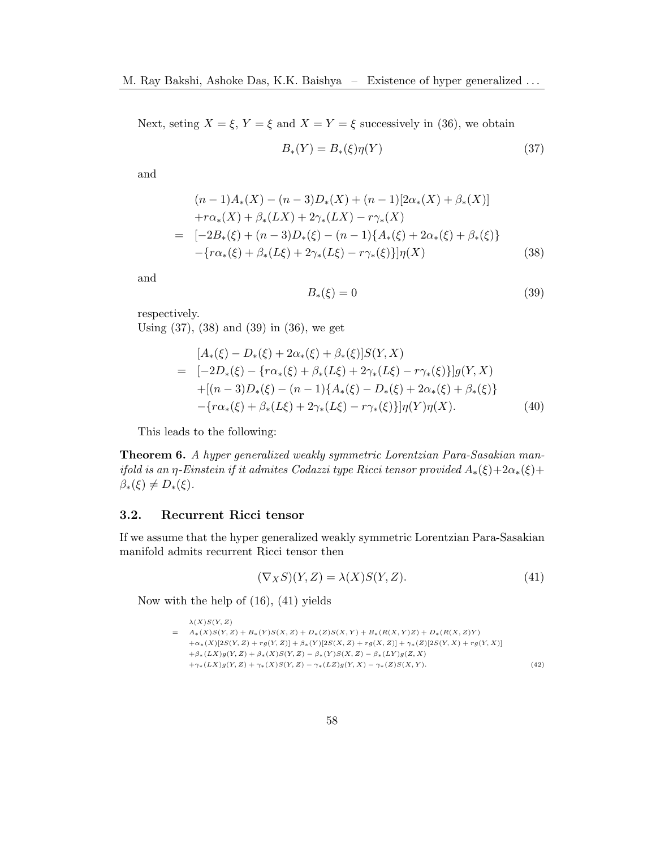Next, seting  $X = \xi$ ,  $Y = \xi$  and  $X = Y = \xi$  successively in [\(36\)](#page-6-4), we obtain

<span id="page-7-0"></span>
$$
B_*(Y) = B_*(\xi)\eta(Y) \tag{37}
$$

and

<span id="page-7-1"></span>
$$
(n-1)A_*(X) - (n-3)D_*(X) + (n-1)[2\alpha_*(X) + \beta_*(X)]
$$
  
+ $r\alpha_*(X) + \beta_*(LX) + 2\gamma_*(LX) - r\gamma_*(X)$   
=  $[-2B_*(\xi) + (n-3)D_*(\xi) - (n-1)\{A_*(\xi) + 2\alpha_*(\xi) + \beta_*(\xi)\}$   
- $\{r\alpha_*(\xi) + \beta_*(L\xi) + 2\gamma_*(L\xi) - r\gamma_*(\xi)\}\eta(X)$  (38)

and

<span id="page-7-2"></span>
$$
B_*(\xi) = 0 \tag{39}
$$

respectively.

Using [\(37\)](#page-7-0), [\(38\)](#page-7-1) and [\(39\)](#page-7-2) in [\(36\)](#page-6-4), we get

$$
[A_*(\xi) - D_*(\xi) + 2\alpha_*(\xi) + \beta_*(\xi)]S(Y, X)
$$
  
= [-2D\_\*(\xi) - {r\alpha\_\*(\xi) + \beta\_\*(L\xi) + 2\gamma\_\*(L\xi) - r\gamma\_\*(\xi)}]g(Y, X)  
+ [(n-3)D\_\*(\xi) - (n-1){A\_\*(\xi) - D\_\*(\xi) + 2\alpha\_\*(\xi) + \beta\_\*(\xi)}  
-\{r\alpha\_\*(\xi) + \beta\_\*(L\xi) + 2\gamma\_\*(L\xi) - r\gamma\_\*(\xi)}]\eta(Y)\eta(X). (40)

This leads to the following:

Theorem 6. A hyper generalized weakly symmetric Lorentzian Para-Sasakian manifold is an η-Einstein if it admites Codazzi type Ricci tensor provided  $A_*(\xi)+2\alpha_*(\xi)+$  $\beta_*(\xi) \neq D_*(\xi).$ 

## 3.2. Recurrent Ricci tensor

If we assume that the hyper generalized weakly symmetric Lorentzian Para-Sasakian manifold admits recurrent Ricci tensor then

<span id="page-7-3"></span>
$$
(\nabla_X S)(Y,Z) = \lambda(X)S(Y,Z). \tag{41}
$$

Now with the help of [\(16\)](#page-3-0), [\(41\)](#page-7-3) yields

```
\lambda(X)S(Y, Z)= A_*(X)S(Y, Z) + B_*(Y)S(X, Z) + D_*(Z)S(X, Y) + B_*(R(X, Y)Z) + D_*(R(X, Z)Y)+\alpha_*(X)[2S(Y, Z) + rg(Y, Z)] + \beta_*(Y)[2S(X, Z) + rg(X, Z)] + \gamma_*(Z)[2S(Y, X) + rg(Y, X)]+\beta_*(LX)g(Y, Z) + \beta_*(X)S(Y, Z) - \beta_*(Y)S(X, Z) - \beta_*(LY)g(Z, X)+\gamma_*(LX)g(Y, Z) + \gamma_*(X)S(Y, Z) - \gamma_*(LZ)g(Y, X) - \gamma_*(Z)S(X, Y). (42)
```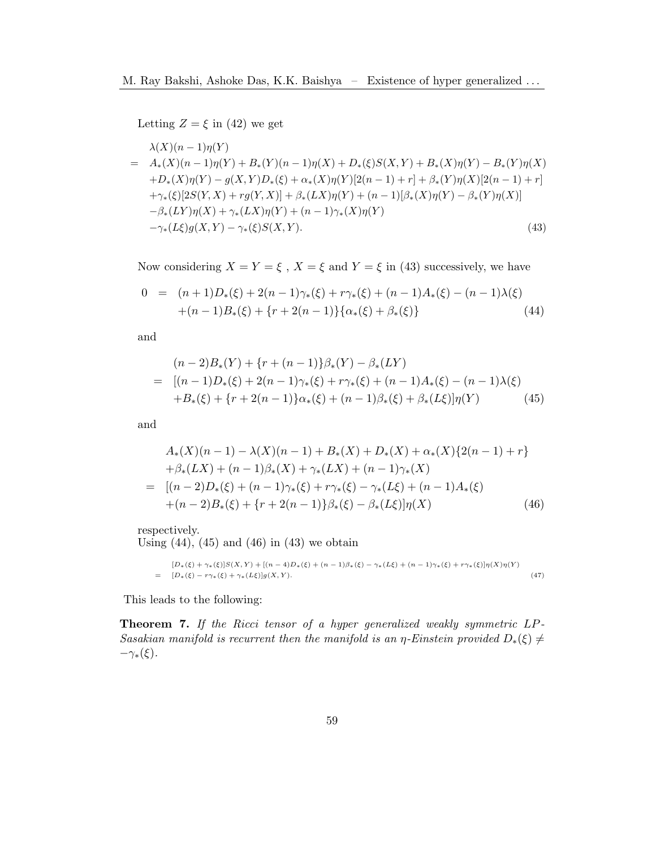Letting  $Z = \xi$  in [\(42\)](#page-7-4) we get

<span id="page-8-0"></span>
$$
\lambda(X)(n-1)\eta(Y)
$$
\n
$$
= A_*(X)(n-1)\eta(Y) + B_*(Y)(n-1)\eta(X) + D_*(\xi)S(X,Y) + B_*(X)\eta(Y) - B_*(Y)\eta(X)
$$
\n
$$
+ D_*(X)\eta(Y) - g(X,Y)D_*(\xi) + \alpha_*(X)\eta(Y)[2(n-1) + r] + \beta_*(Y)\eta(X)[2(n-1) + r]
$$
\n
$$
+ \gamma_*(\xi)[2S(Y,X) + rg(Y,X)] + \beta_*(LX)\eta(Y) + (n-1)[\beta_*(X)\eta(Y) - \beta_*(Y)\eta(X)]
$$
\n
$$
- \beta_*(LY)\eta(X) + \gamma_*(LX)\eta(Y) + (n-1)\gamma_*(X)\eta(Y)
$$
\n
$$
- \gamma_*(L\xi)g(X,Y) - \gamma_*(\xi)S(X,Y). \tag{43}
$$

Now considering  $X = Y = \xi$ ,  $X = \xi$  and  $Y = \xi$  in [\(43\)](#page-8-0) successively, we have

<span id="page-8-1"></span>
$$
0 = (n+1)D_*(\xi) + 2(n-1)\gamma_*(\xi) + r\gamma_*(\xi) + (n-1)A_*(\xi) - (n-1)\lambda(\xi)
$$
  
+(n-1)B\_\*(\xi) + \{r + 2(n-1)\}\{\alpha\_\*(\xi) + \beta\_\*(\xi)\} (44)

and

<span id="page-8-2"></span>
$$
(n-2)B_*(Y) + \{r + (n-1)\}\beta_*(Y) - \beta_*(LY)
$$
  
= 
$$
[(n-1)D_*(\xi) + 2(n-1)\gamma_*(\xi) + r\gamma_*(\xi) + (n-1)A_*(\xi) - (n-1)\lambda(\xi)
$$
  
+
$$
B_*(\xi) + \{r + 2(n-1)\}\alpha_*(\xi) + (n-1)\beta_*(\xi) + \beta_*(L\xi)\eta(Y)
$$
(45)

and

<span id="page-8-3"></span>
$$
A_*(X)(n-1) - \lambda(X)(n-1) + B_*(X) + D_*(X) + \alpha_*(X)\{2(n-1) + r\} + \beta_*(LX) + (n-1)\beta_*(X) + \gamma_*(LX) + (n-1)\gamma_*(X) = [(n-2)D_*(\xi) + (n-1)\gamma_*(\xi) + r\gamma_*(\xi) - \gamma_*(L\xi) + (n-1)A_*(\xi) + (n-2)B_*(\xi) + \{r + 2(n-1)\}\beta_*(\xi) - \beta_*(L\xi)]\eta(X)
$$
(46)

respectively.

Using  $(44)$ ,  $(45)$  and  $(46)$  in  $(43)$  we obtain

$$
[D_{*}(\xi) + \gamma_{*}(\xi)]S(X,Y) + [(n-4)D_{*}(\xi) + (n-1)\beta_{*}(\xi) - \gamma_{*}(L\xi) + (n-1)\gamma_{*}(\xi) + r\gamma_{*}(\xi)]\eta(X)\eta(Y)
$$
  
= 
$$
[D_{*}(\xi) - r\gamma_{*}(\xi) + \gamma_{*}(L\xi)]g(X,Y).
$$
 (47)

This leads to the following:

Theorem 7. If the Ricci tensor of a hyper generalized weakly symmetric LP-Sasakian manifold is recurrent then the manifold is an  $\eta$ -Einstein provided  $D_*(\xi) \neq$  $-\gamma_*(\xi).$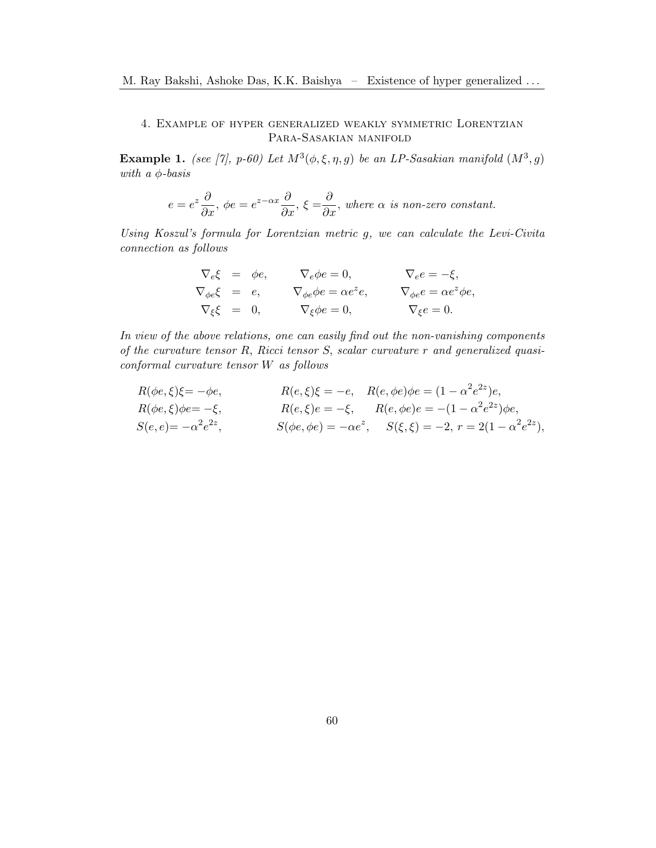# 4. Example of hyper generalized weakly symmetric Lorentzian Para-Sasakian manifold

**Example 1.** (see [\[7\]](#page-15-9), p-60) Let  $M^3(\phi, \xi, \eta, g)$  be an LP-Sasakian manifold  $(M^3, g)$ with a  $\phi$ -basis

$$
e = e^z \frac{\partial}{\partial x}, \ \phi e = e^{z - \alpha x} \frac{\partial}{\partial x}, \ \xi = \frac{\partial}{\partial x}, \ \text{where } \alpha \ \text{ is non-zero constant.}
$$

Using Koszul's formula for Lorentzian metric g, we can calculate the Levi-Civita connection as follows

$$
\nabla_e \xi = \phi e, \qquad \nabla_e \phi e = 0, \qquad \nabla_e e = -\xi, \n\nabla_{\phi e} \xi = e, \qquad \nabla_{\phi e} \phi e = \alpha e^z e, \qquad \nabla_{\phi e} e = \alpha e^z \phi e, \n\nabla_{\xi} \xi = 0, \qquad \nabla_{\xi} \phi e = 0, \qquad \nabla_{\xi} e = 0.
$$

In view of the above relations, one can easily find out the non-vanishing components of the curvature tensor R, Ricci tensor S, scalar curvature r and generalized quasiconformal curvature tensor W as follows

$$
R(\phi e, \xi)\xi = -\phi e, \qquad R(e, \xi)\xi = -e, \quad R(e, \phi e)\phi e = (1 - \alpha^2 e^{2z})e, R(\phi e, \xi)\phi e = -\xi, \qquad R(e, \xi)e = -\xi, \qquad R(e, \phi e)e = -(1 - \alpha^2 e^{2z})\phi e, S(e, e) = -\alpha^2 e^{2z}, \qquad S(\phi e, \phi e) = -\alpha e^z, \qquad S(\xi, \xi) = -2, \ r = 2(1 - \alpha^2 e^{2z}),
$$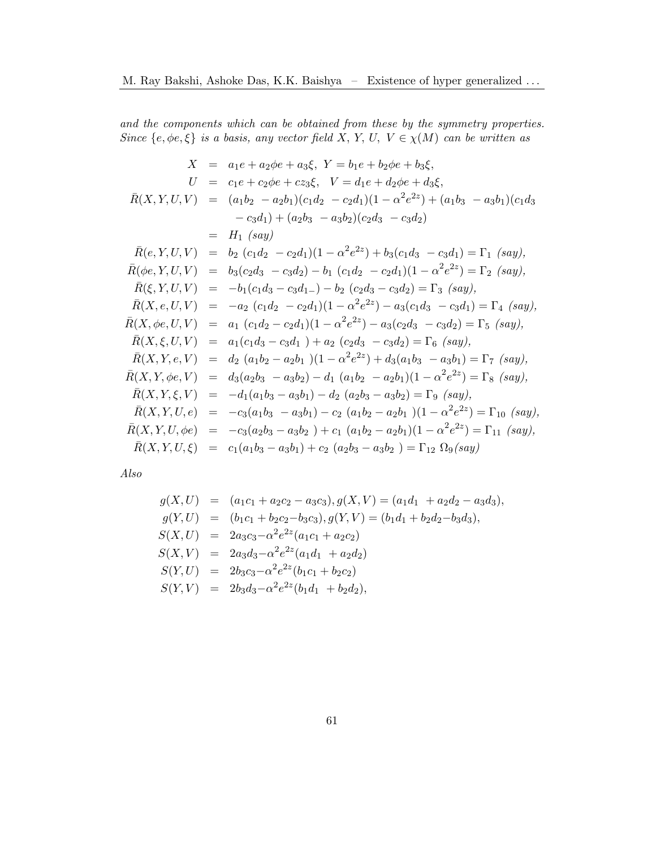and the components which can be obtained from these by the symmetry properties. Since  $\{e, \phi e, \xi\}$  is a basis, any vector field X, Y, U,  $V \in \chi(M)$  can be written as

$$
X = a_1e + a_2\phi e + a_3\xi, \quad Y = b_1e + b_2\phi e + b_3\xi,
$$
  
\n
$$
U = c_1e + c_2\phi e + c_{23}\xi, \quad V = d_1e + d_2\phi e + d_3\xi,
$$
  
\n
$$
\bar{R}(X, Y, U, V) = (a_1b_2 - a_2b_1)(c_1d_2 - c_2d_1)(1 - \alpha^2e^{2z}) + (a_1b_3 - a_3b_1)(c_1d_3 - c_3d_1) + (a_2b_3 - a_3b_2)(c_2d_3 - c_3d_2)
$$
  
\n
$$
= H_1 (say)
$$
  
\n
$$
\bar{R}(e, Y, U, V) = b_2 (c_1d_2 - c_2d_1)(1 - \alpha^2e^{2z}) + b_3(c_1d_3 - c_3d_1) = \Gamma_1 (say),
$$
  
\n
$$
\bar{R}(\phi e, Y, U, V) = b_3(c_2d_3 - c_3d_2) - b_1 (c_1d_2 - c_2d_1)(1 - \alpha^2e^{2z}) = \Gamma_2 (say),
$$
  
\n
$$
\bar{R}(\xi, Y, U, V) = -b_1(c_1d_3 - c_3d_1) - b_2 (c_2d_3 - c_3d_2) = \Gamma_3 (say),
$$
  
\n
$$
\bar{R}(X, e, U, V) = -a_2 (c_1d_2 - c_2d_1)(1 - \alpha^2e^{2z}) - a_3(c_1d_3 - c_3d_1) = \Gamma_4 (say),
$$
  
\n
$$
\bar{R}(X, \phi e, U, V) = a_1 (c_1d_2 - c_2d_1)(1 - \alpha^2e^{2z}) - a_3(c_2d_3 - c_3d_2) = \Gamma_5 (say),
$$
  
\n
$$
\bar{R}(X, \phi e, U, V) = a_1 (c_1d_3 - c_3d_1) + a_2 (c_2d_3 - c_3d_2) = \Gamma_6 (say),
$$
  
\n
$$
\bar{R}(X, Y, e, V) = d_2 (a_1b_2 - a_2b_1)(1 - \alpha^2e^{2z})
$$

Also

$$
g(X, U) = (a_1c_1 + a_2c_2 - a_3c_3), g(X, V) = (a_1d_1 + a_2d_2 - a_3d_3),
$$
  
\n
$$
g(Y, U) = (b_1c_1 + b_2c_2 - b_3c_3), g(Y, V) = (b_1d_1 + b_2d_2 - b_3d_3),
$$
  
\n
$$
S(X, U) = 2a_3c_3 - \alpha^2 e^{2z}(a_1c_1 + a_2c_2)
$$
  
\n
$$
S(X, V) = 2a_3d_3 - \alpha^2 e^{2z}(a_1d_1 + a_2d_2)
$$
  
\n
$$
S(Y, U) = 2b_3c_3 - \alpha^2 e^{2z}(b_1c_1 + b_2c_2)
$$
  
\n
$$
S(Y, V) = 2b_3d_3 - \alpha^2 e^{2z}(b_1d_1 + b_2d_2),
$$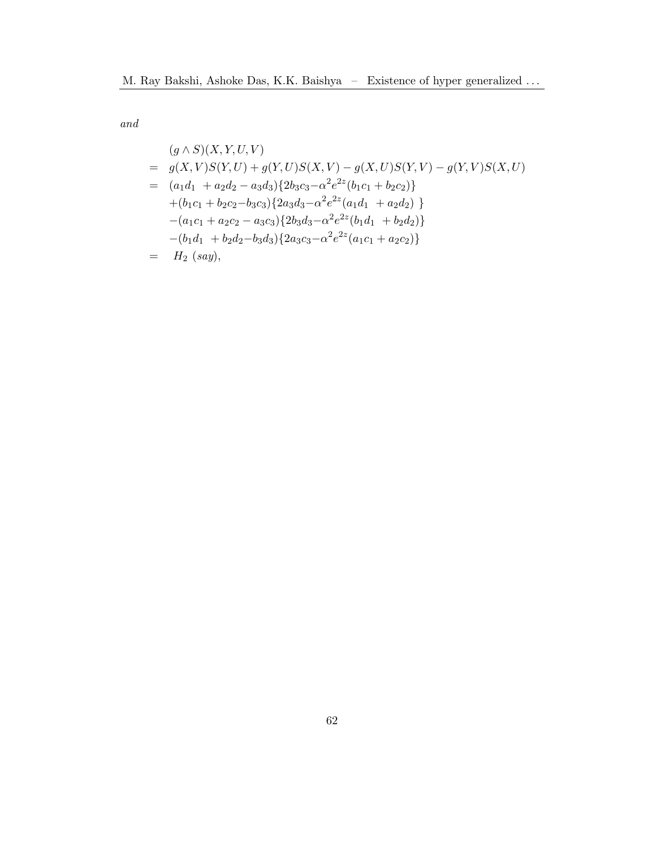and

$$
(g \wedge S)(X, Y, U, V)
$$
  
=  $g(X, V)S(Y, U) + g(Y, U)S(X, V) - g(X, U)S(Y, V) - g(Y, V)S(X, U)$   
=  $(a_1d_1 + a_2d_2 - a_3d_3)\{2b_3c_3 - \alpha^2 e^{2z}(b_1c_1 + b_2c_2)\}\$   
+  $(b_1c_1 + b_2c_2 - b_3c_3)\{2a_3d_3 - \alpha^2 e^{2z}(a_1d_1 + a_2d_2)\}\$   
-  $(a_1c_1 + a_2c_2 - a_3c_3)\{2b_3d_3 - \alpha^2 e^{2z}(b_1d_1 + b_2d_2)\}\$   
-  $(b_1d_1 + b_2d_2 - b_3d_3)\{2a_3c_3 - \alpha^2 e^{2z}(a_1c_1 + a_2c_2)\}\$   
=  $H_2$   $(say)$ ,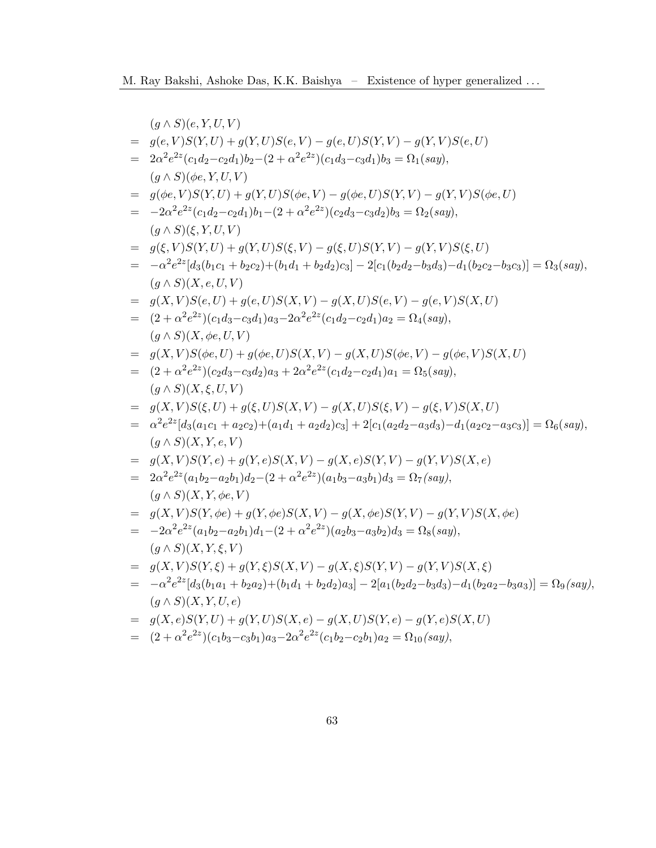|     | $(g \wedge S)(e, Y, U, V)$                                                                                                          |
|-----|-------------------------------------------------------------------------------------------------------------------------------------|
| $=$ | $g(e, V)S(Y, U) + g(Y, U)S(e, V) - g(e, U)S(Y, V) - g(Y, V)S(e, U)$                                                                 |
| $=$ | $2\alpha^2 e^{2z}(c_1d_2-c_2d_1)b_2-(2+\alpha^2 e^{2z})(c_1d_3-c_3d_1)b_3=\Omega_1(say),$                                           |
|     | $(q \wedge S)(\phi e, Y, U, V)$                                                                                                     |
| $=$ | $g(\phi e, V)S(Y, U) + g(Y, U)S(\phi e, V) - g(\phi e, U)S(Y, V) - g(Y, V)S(\phi e, U)$                                             |
|     | $= -2\alpha^2 e^{2z} (c_1 d_2 - c_2 d_1) b_1 - (2 + \alpha^2 e^{2z}) (c_2 d_3 - c_3 d_2) b_3 = \Omega_2(say),$                      |
|     | $(g \wedge S)(\xi, Y, U, V)$                                                                                                        |
| $=$ | $g(\xi, V)S(Y, U) + g(Y, U)S(\xi, V) - g(\xi, U)S(Y, V) - g(Y, V)S(\xi, U)$                                                         |
| $=$ | $-\alpha^2 e^{2z} [d_3(b_1c_1 + b_2c_2) + (b_1d_1 + b_2d_2)c_3] - 2[c_1(b_2d_2 - b_3d_3) - d_1(b_2c_2 - b_3c_3)] = \Omega_3(say),$  |
|     | $(g \wedge S)(X, e, U, V)$                                                                                                          |
| $=$ | $g(X, V)S(e, U) + g(e, U)S(X, V) - g(X, U)S(e, V) - g(e, V)S(X, U)$                                                                 |
|     | $= (2 + \alpha^2 e^{2z})(c_1d_3 - c_3d_1)a_3 - 2\alpha^2 e^{2z}(c_1d_2 - c_2d_1)a_2 = \Omega_4(say),$                               |
|     | $(g \wedge S)(X, \phi e, U, V)$                                                                                                     |
|     | $= g(X, V)S(\phi e, U) + g(\phi e, U)S(X, V) - g(X, U)S(\phi e, V) - g(\phi e, V)S(X, U)$                                           |
|     | $= (2 + \alpha^2 e^{2z})(c_2d_3 - c_3d_2)a_3 + 2\alpha^2 e^{2z}(c_1d_2 - c_2d_1)a_1 = \Omega_5(say),$                               |
|     | $(g \wedge S)(X, \xi, U, V)$                                                                                                        |
| $=$ | $g(X, V)S(\xi, U) + g(\xi, U)S(X, V) - g(X, U)S(\xi, V) - g(\xi, V)S(X, U)$                                                         |
|     | $= \alpha^2 e^{2z} [d_3(a_1c_1 + a_2c_2) + (a_1d_1 + a_2d_2)c_3] + 2[c_1(a_2d_2 - a_3d_3) - d_1(a_2c_2 - a_3c_3)] = \Omega_6(say),$ |
|     | $(g \wedge S)(X, Y, e, V)$                                                                                                          |
| $=$ | $g(X, V)S(Y, e) + g(Y, e)S(X, V) - g(X, e)S(Y, V) - g(Y, V)S(X, e)$                                                                 |
| $=$ | $2\alpha^2 e^{2z}(a_1b_2-a_2b_1)d_2-(2+\alpha^2 e^{2z})(a_1b_3-a_3b_1)d_3=\Omega_7(say),$                                           |
|     | $(g \wedge S)(X, Y, \phi e, V)$                                                                                                     |
| $=$ | $g(X, V)S(Y, \phi e) + g(Y, \phi e)S(X, V) - g(X, \phi e)S(Y, V) - g(Y, V)S(X, \phi e)$                                             |
|     | $= -2\alpha^2 e^{2z} (a_1b_2 - a_2b_1)d_1 - (2 + \alpha^2 e^{2z}) (a_2b_3 - a_3b_2)d_3 = \Omega_8(say),$                            |
|     | $(g \wedge S)(X, Y, \xi, V)$                                                                                                        |
|     | $= g(X, V)S(Y, \xi) + g(Y, \xi)S(X, V) - g(X, \xi)S(Y, V) - g(Y, V)S(X, \xi)$                                                       |
| $=$ | $-\alpha^2 e^{2z} [d_3(b_1a_1 + b_2a_2) + (b_1d_1 + b_2d_2)a_3] - 2[a_1(b_2d_2 - b_3d_3) - d_1(b_2a_2 - b_3a_3)] = \Omega_9(say)$   |
|     | $(g \wedge S)(X, Y, U, e)$                                                                                                          |
|     | $= g(X, e)S(Y, U) + g(Y, U)S(X, e) - g(X, U)S(Y, e) - g(Y, e)S(X, U)$                                                               |
|     | = $(2+\alpha^2 e^{2z})(c_1b_3-c_3b_1)a_3-2\alpha^2 e^{2z}(c_1b_2-c_2b_1)a_2 = \Omega_{10}(say),$                                    |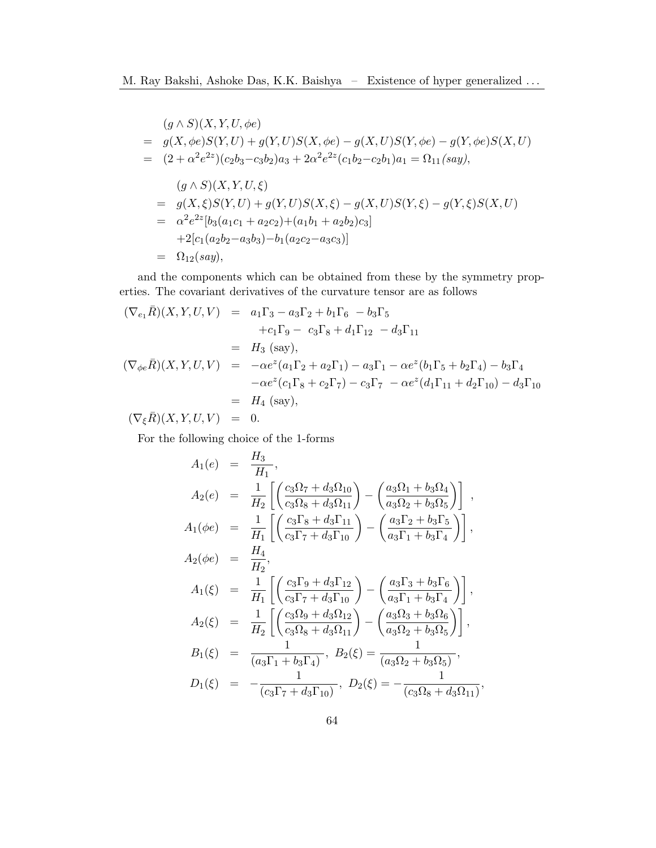$$
(g \wedge S)(X, Y, U, \phi e)
$$
  
=  $g(X, \phi e)S(Y, U) + g(Y, U)S(X, \phi e) - g(X, U)S(Y, \phi e) - g(Y, \phi e)S(X, U)$   
=  $(2 + \alpha^2 e^{2z})(c_2b_3 - c_3b_2)a_3 + 2\alpha^2 e^{2z}(c_1b_2 - c_2b_1)a_1 = \Omega_{11}(say),$   
 $(g \wedge S)(X, Y, U, \xi)$   
=  $g(X, \xi)S(Y, U) + g(Y, U)S(X, \xi) - g(X, U)S(Y, \xi) - g(Y, \xi)S(X, U)$   
=  $\alpha^2 e^{2z}[b_3(a_1c_1 + a_2c_2)+(a_1b_1 + a_2b_2)c_3]$   
+  $2[c_1(a_2b_2 - a_3b_3) - b_1(a_2c_2 - a_3c_3)]$   
=  $\Omega_{12}(say),$ 

and the components which can be obtained from these by the symmetry properties. The covariant derivatives of the curvature tensor are as follows

$$
(\nabla_{e_1}\bar{R})(X,Y,U,V) = a_1\Gamma_3 - a_3\Gamma_2 + b_1\Gamma_6 - b_3\Gamma_5 + c_1\Gamma_9 - c_3\Gamma_8 + d_1\Gamma_{12} - d_3\Gamma_{11} = H_3 \text{ (say)}, (\nabla_{\phi e}\bar{R})(X,Y,U,V) = -\alpha e^z(a_1\Gamma_2 + a_2\Gamma_1) - a_3\Gamma_1 - \alpha e^z(b_1\Gamma_5 + b_2\Gamma_4) - b_3\Gamma_4 -\alpha e^z(c_1\Gamma_8 + c_2\Gamma_7) - c_3\Gamma_7 - \alpha e^z(d_1\Gamma_{11} + d_2\Gamma_{10}) - d_3\Gamma_{10} = H_4 \text{ (say)},
$$

 $(\nabla_{\xi} \bar{R})(X, Y, U, V) = 0.$ 

For the following choice of the 1-forms

$$
A_1(e) = \frac{H_3}{H_1},
$$
  
\n
$$
A_2(e) = \frac{1}{H_2} \left[ \left( \frac{c_3 \Omega_7 + d_3 \Omega_{10}}{c_3 \Omega_8 + d_3 \Omega_{11}} \right) - \left( \frac{a_3 \Omega_1 + b_3 \Omega_4}{a_3 \Omega_2 + b_3 \Omega_5} \right) \right],
$$
  
\n
$$
A_1(\phi e) = \frac{1}{H_1} \left[ \left( \frac{c_3 \Gamma_8 + d_3 \Gamma_{11}}{c_3 \Gamma_7 + d_3 \Gamma_{10}} \right) - \left( \frac{a_3 \Gamma_2 + b_3 \Gamma_5}{a_3 \Gamma_1 + b_3 \Gamma_4} \right) \right],
$$
  
\n
$$
A_2(\phi e) = \frac{H_4}{H_2},
$$
  
\n
$$
A_1(\xi) = \frac{1}{H_1} \left[ \left( \frac{c_3 \Gamma_9 + d_3 \Gamma_{12}}{c_3 \Gamma_7 + d_3 \Gamma_{10}} \right) - \left( \frac{a_3 \Gamma_3 + b_3 \Gamma_6}{a_3 \Gamma_1 + b_3 \Gamma_4} \right) \right],
$$
  
\n
$$
A_2(\xi) = \frac{1}{H_2} \left[ \left( \frac{c_3 \Omega_9 + d_3 \Omega_{12}}{c_3 \Omega_8 + d_3 \Omega_{11}} \right) - \left( \frac{a_3 \Omega_3 + b_3 \Omega_6}{a_3 \Omega_2 + b_3 \Omega_5} \right) \right],
$$
  
\n
$$
B_1(\xi) = \frac{1}{(a_3 \Gamma_1 + b_3 \Gamma_4)}, B_2(\xi) = \frac{1}{(a_3 \Omega_2 + b_3 \Omega_5)},
$$
  
\n
$$
D_1(\xi) = -\frac{1}{(c_3 \Gamma_7 + d_3 \Gamma_{10})}, D_2(\xi) = -\frac{1}{(c_3 \Omega_8 + d_3 \Omega_{11})},
$$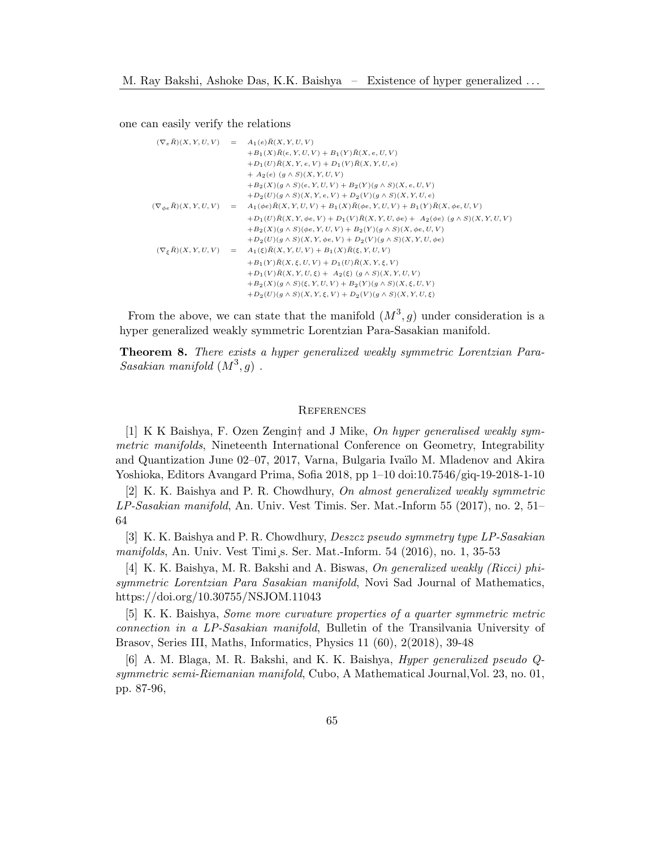one can easily verify the relations

```
(\nabla_e \bar{R})(X, Y, U, V) = A_1(e) \bar{R}(X, Y, U, V)+B_1(X)\overline{R}(e, Y, U, V) + B_1(Y)\overline{R}(X, e, U, V)+D_1(U)\bar{R}(X, Y, e, V) + D_1(V)\bar{R}(X, Y, U, e)+ A_2(e) (g \wedge S)(X, Y, U, V)+B_2(X)(g \wedge S)(e, Y, U, V) + B_2(Y)(g \wedge S)(X, e, U, V)+D_2(U)(g \wedge S)(X, Y, e, V) + D_2(V)(g \wedge S)(X, Y, U, e)(\nabla_{\phi e} \bar{R})(X, Y, U, V) = A_1(\phi e) \bar{R}(X, Y, U, V) + B_1(X) \bar{R}(\phi e, Y, U, V) + B_1(Y) \bar{R}(X, \phi e, U, V)+D_{1}(U)\bar{R}(X,Y,\phi e,V)+D_{1}(V)\bar{R}(X,Y,U,\phi e)+\ A_{2}(\phi e)\ (g\wedge S)(X,Y,U,V)+B_2(X)(g \wedge S)(\phi e, Y, U, V) + B_2(Y)(g \wedge S)(X, \phi e, U, V)+D_2(U)(g \wedge S)(X, Y, \phi e, V) + D_2(V)(g \wedge S)(X, Y, U, \phi e)(\nabla_{\xi} \bar{R})(X, Y, U, V) = A_1(\xi) \bar{R}(X, Y, U, V) + B_1(X) \bar{R}(\xi, Y, U, V)+B_1(Y)\bar{R}(X, \xi, U, V) + D_1(U)\bar{R}(X, Y, \xi, V)+D_1(V)\bar{R}(X, Y, U, \xi) + A_2(\xi) (g \wedge S)(X, Y, U, V)+B_2(X)(g \wedge S)(\xi, Y, U, V) + B_2(Y)(g \wedge S)(X, \xi, U, V)+D_2(U)(g \wedge S)(X, Y, \xi, V) + D_2(V)(g \wedge S)(X, Y, U, \xi)
```
From the above, we can state that the manifold  $(M^3, g)$  under consideration is a hyper generalized weakly symmetric Lorentzian Para-Sasakian manifold.

Theorem 8. There exists a hyper generalized weakly symmetric Lorentzian Para-Sasakian manifold  $(M^3, g)$ .

#### **REFERENCES**

<span id="page-14-0"></span>[1] K K Baishya, F. Ozen Zengin† and J Mike, On hyper generalised weakly symmetric manifolds, Nineteenth International Conference on Geometry, Integrability and Quantization June 02–07, 2017, Varna, Bulgaria Iva¨ılo M. Mladenov and Akira Yoshioka, Editors Avangard Prima, Sofia 2018, pp 1–10 doi:10.7546/giq-19-2018-1-10

<span id="page-14-2"></span> $[2]$  K. K. Baishya and P. R. Chowdhury, On almost generalized weakly symmetric LP-Sasakian manifold, An. Univ. Vest Timis. Ser. Mat.-Inform 55 (2017), no. 2, 51– 64

<span id="page-14-3"></span>[3] K. K. Baishya and P. R. Chowdhury, Deszcz pseudo symmetry type LP-Sasakian manifolds, An. Univ. Vest Timi¸s. Ser. Mat.-Inform. 54 (2016), no. 1, 35-53

<span id="page-14-4"></span>[4] K. K. Baishya, M. R. Bakshi and A. Biswas, On generalized weakly (Ricci) phisymmetric Lorentzian Para Sasakian manifold, Novi Sad Journal of Mathematics, https://doi.org/10.30755/NSJOM.11043

<span id="page-14-5"></span>[5] K. K. Baishya, Some more curvature properties of a quarter symmetric metric connection in a LP-Sasakian manifold, Bulletin of the Transilvania University of Brasov, Series III, Maths, Informatics, Physics 11 (60), 2(2018), 39-48

<span id="page-14-1"></span>[6] A. M. Blaga, M. R. Bakshi, and K. K. Baishya, Hyper generalized pseudo Qsymmetric semi-Riemanian manifold, Cubo, A Mathematical Journal,Vol. 23, no. 01, pp. 87-96,